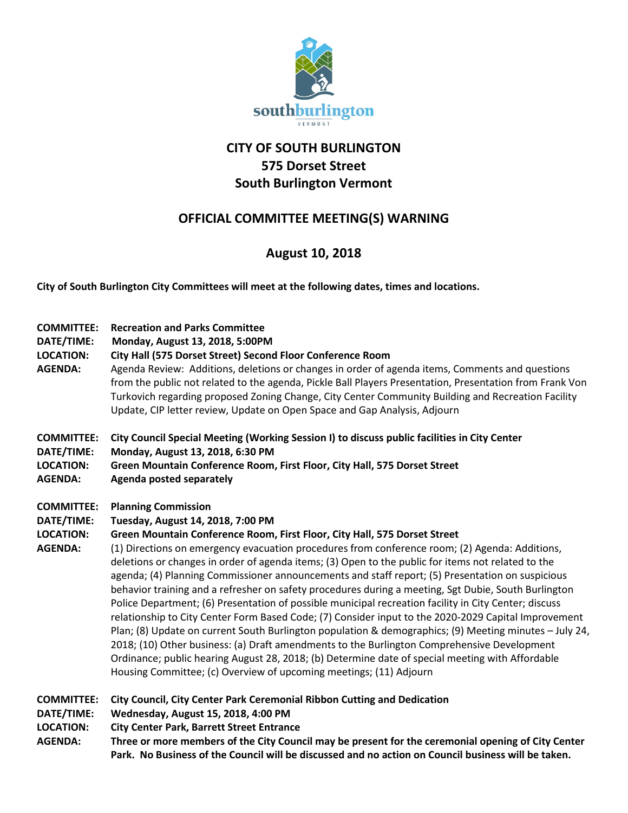

# **CITY OF SOUTH BURLINGTON 575 Dorset Street South Burlington Vermont**

# **OFFICIAL COMMITTEE MEETING(S) WARNING**

## **August 10, 2018**

**City of South Burlington City Committees will meet at the following dates, times and locations.** 

| <b>COMMITTEE:</b><br>DATE/TIME:<br><b>LOCATION:</b><br><b>AGENDA:</b> | <b>Recreation and Parks Committee</b><br>Monday, August 13, 2018, 5:00PM<br>City Hall (575 Dorset Street) Second Floor Conference Room<br>Agenda Review: Additions, deletions or changes in order of agenda items, Comments and questions<br>from the public not related to the agenda, Pickle Ball Players Presentation, Presentation from Frank Von<br>Turkovich regarding proposed Zoning Change, City Center Community Building and Recreation Facility<br>Update, CIP letter review, Update on Open Space and Gap Analysis, Adjourn                                                                                                                                                                                                                                                                                                                                                                                                                                                                                                                                                                                                                             |
|-----------------------------------------------------------------------|----------------------------------------------------------------------------------------------------------------------------------------------------------------------------------------------------------------------------------------------------------------------------------------------------------------------------------------------------------------------------------------------------------------------------------------------------------------------------------------------------------------------------------------------------------------------------------------------------------------------------------------------------------------------------------------------------------------------------------------------------------------------------------------------------------------------------------------------------------------------------------------------------------------------------------------------------------------------------------------------------------------------------------------------------------------------------------------------------------------------------------------------------------------------|
| <b>COMMITTEE:</b><br>DATE/TIME:<br><b>LOCATION:</b><br><b>AGENDA:</b> | City Council Special Meeting (Working Session I) to discuss public facilities in City Center<br>Monday, August 13, 2018, 6:30 PM<br>Green Mountain Conference Room, First Floor, City Hall, 575 Dorset Street<br><b>Agenda posted separately</b>                                                                                                                                                                                                                                                                                                                                                                                                                                                                                                                                                                                                                                                                                                                                                                                                                                                                                                                     |
| <b>COMMITTEE:</b><br>DATE/TIME:<br><b>LOCATION:</b><br><b>AGENDA:</b> | <b>Planning Commission</b><br>Tuesday, August 14, 2018, 7:00 PM<br>Green Mountain Conference Room, First Floor, City Hall, 575 Dorset Street<br>(1) Directions on emergency evacuation procedures from conference room; (2) Agenda: Additions,<br>deletions or changes in order of agenda items; (3) Open to the public for items not related to the<br>agenda; (4) Planning Commissioner announcements and staff report; (5) Presentation on suspicious<br>behavior training and a refresher on safety procedures during a meeting, Sgt Dubie, South Burlington<br>Police Department; (6) Presentation of possible municipal recreation facility in City Center; discuss<br>relationship to City Center Form Based Code; (7) Consider input to the 2020-2029 Capital Improvement<br>Plan; (8) Update on current South Burlington population & demographics; (9) Meeting minutes - July 24,<br>2018; (10) Other business: (a) Draft amendments to the Burlington Comprehensive Development<br>Ordinance; public hearing August 28, 2018; (b) Determine date of special meeting with Affordable<br>Housing Committee; (c) Overview of upcoming meetings; (11) Adjourn |
| <b>COMMITTEE:</b><br>DATE/TIME:<br><b>LOCATION:</b><br><b>AGENDA:</b> | City Council, City Center Park Ceremonial Ribbon Cutting and Dedication<br>Wednesday, August 15, 2018, 4:00 PM<br><b>City Center Park, Barrett Street Entrance</b><br>Three or more members of the City Council may be present for the ceremonial opening of City Center<br>Park. No Business of the Council will be discussed and no action on Council business will be taken.                                                                                                                                                                                                                                                                                                                                                                                                                                                                                                                                                                                                                                                                                                                                                                                      |